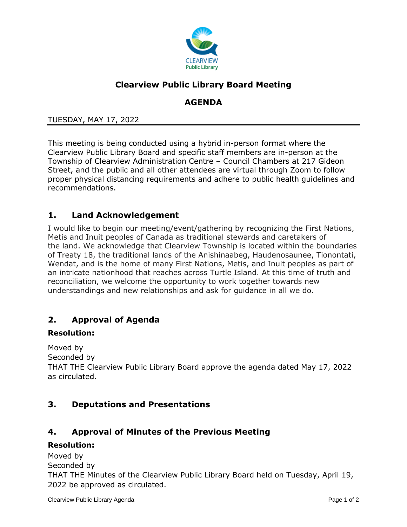

# **Clearview Public Library Board Meeting**

## **AGENDA**

#### TUESDAY, MAY 17, 2022

This meeting is being conducted using a hybrid in-person format where the Clearview Public Library Board and specific staff members are in-person at the Township of Clearview Administration Centre – Council Chambers at 217 Gideon Street, and the public and all other attendees are virtual through Zoom to follow proper physical distancing requirements and adhere to public health guidelines and recommendations.

### **1. Land Acknowledgement**

I would like to begin our meeting/event/gathering by recognizing the First Nations, Metis and Inuit peoples of Canada as traditional stewards and caretakers of the land. We acknowledge that Clearview Township is located within the boundaries of Treaty 18, the traditional lands of the Anishinaabeg, Haudenosaunee, Tionontati, Wendat, and is the home of many First Nations, Metis, and Inuit peoples as part of an intricate nationhood that reaches across Turtle Island. At this time of truth and reconciliation, we welcome the opportunity to work together towards new understandings and new relationships and ask for guidance in all we do.

## **2. Approval of Agenda**

#### **Resolution:**

Moved by

Seconded by

THAT THE Clearview Public Library Board approve the agenda dated May 17, 2022 as circulated.

## **3. Deputations and Presentations**

### **4. Approval of Minutes of the Previous Meeting**

#### **Resolution:**

Moved by Seconded by

THAT THE Minutes of the Clearview Public Library Board held on Tuesday, April 19, 2022 be approved as circulated.